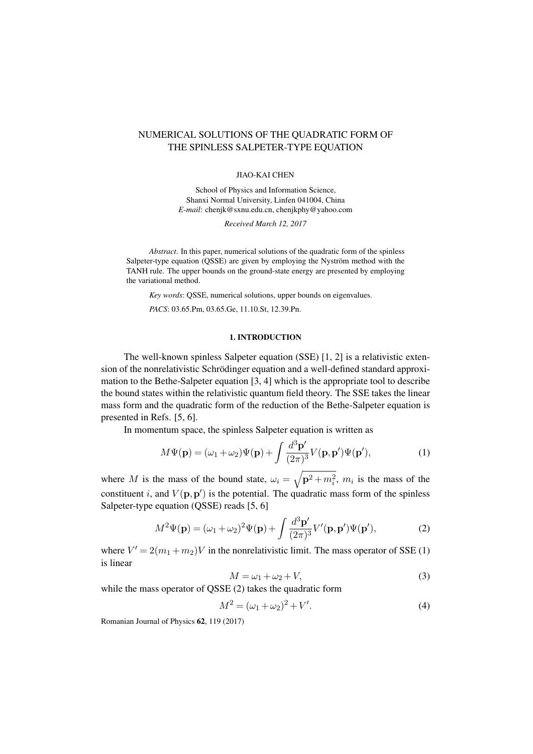# NUMERICAL SOLUTIONS OF THE QUADRATIC FORM OF THE SPINLESS SALPETER-TYPE EQUATION

#### JIAO-KAI CHEN

School of Physics and Information Science, Shanxi Normal University, Linfen 041004, China *E-mail*: chenjk@sxnu.edu.cn, chenjkphy@yahoo.com

*Received March 12, 2017*

*Abstract*. In this paper, numerical solutions of the quadratic form of the spinless Salpeter-type equation (QSSE) are given by employing the Nyström method with the TANH rule. The upper bounds on the ground-state energy are presented by employing the variational method.

*Key words*: QSSE, numerical solutions, upper bounds on eigenvalues.

*PACS*: 03.65.Pm, 03.65.Ge, 11.10.St, 12.39.Pn.

# <span id="page-0-0"></span>1. INTRODUCTION

The well-known spinless Salpeter equation (SSE) [\[1,](#page-6-0) [2\]](#page-6-1) is a relativistic extension of the nonrelativistic Schrödinger equation and a well-defined standard approximation to the Bethe-Salpeter equation [\[3,](#page-6-2) [4\]](#page-6-3) which is the appropriate tool to describe the bound states within the relativistic quantum field theory. The SSE takes the linear mass form and the quadratic form of the reduction of the Bethe-Salpeter equation is presented in Refs. [\[5,](#page-6-4) [6\]](#page-7-0).

In momentum space, the spinless Salpeter equation is written as

$$
M\Psi(\mathbf{p}) = (\omega_1 + \omega_2)\Psi(\mathbf{p}) + \int \frac{d^3 \mathbf{p}'}{(2\pi)^3} V(\mathbf{p}, \mathbf{p}')\Psi(\mathbf{p}'),\tag{1}
$$

where M is the mass of the bound state,  $\omega_i = \sqrt{\mathbf{p}^2 + m_i^2}$ ,  $m_i$  is the mass of the constituent i, and  $V(\mathbf{p}, \mathbf{p}')$  is the potential. The quadratic mass form of the spinless Salpeter-type equation (QSSE) reads [\[5,](#page-6-4) [6\]](#page-7-0)

$$
M^2\Psi(\mathbf{p}) = (\omega_1 + \omega_2)^2 \Psi(\mathbf{p}) + \int \frac{d^3 \mathbf{p}'}{(2\pi)^3} V'(\mathbf{p}, \mathbf{p}') \Psi(\mathbf{p}'),\tag{2}
$$

where  $V' = 2(m_1 + m_2)V$  in the nonrelativistic limit. The mass operator of SSE [\(1\)](#page-0-0) is linear

<span id="page-0-1"></span>
$$
M = \omega_1 + \omega_2 + V,\tag{3}
$$

while the mass operator of QSSE [\(2\)](#page-0-1) takes the quadratic form

$$
M^2 = (\omega_1 + \omega_2)^2 + V'.
$$
 (4)

Romanian Journal of Physics 62, 119 (2017).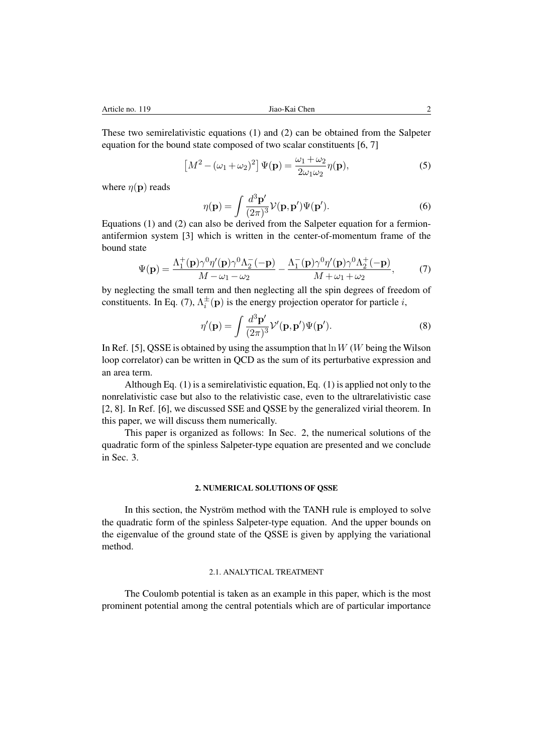These two semirelativistic equations [\(1\)](#page-0-0) and [\(2\)](#page-0-1) can be obtained from the Salpeter equation for the bound state composed of two scalar constituents [\[6,](#page-7-0) [7\]](#page-7-1)

$$
\left[M^2 - (\omega_1 + \omega_2)^2\right] \Psi(\mathbf{p}) = \frac{\omega_1 + \omega_2}{2\omega_1\omega_2} \eta(\mathbf{p}),\tag{5}
$$

where  $\eta(\mathbf{p})$  reads

$$
\eta(\mathbf{p}) = \int \frac{d^3 \mathbf{p}'}{(2\pi)^3} \mathcal{V}(\mathbf{p}, \mathbf{p}') \Psi(\mathbf{p}').
$$
\n(6)

Equations [\(1\)](#page-0-0) and [\(2\)](#page-0-1) can also be derived from the Salpeter equation for a fermionantifermion system [\[3\]](#page-6-2) which is written in the center-of-momentum frame of the bound state

<span id="page-1-0"></span>
$$
\Psi(\mathbf{p}) = \frac{\Lambda_1^+(\mathbf{p})\gamma^0\eta'(\mathbf{p})\gamma^0\Lambda_2^-(-\mathbf{p})}{M - \omega_1 - \omega_2} - \frac{\Lambda_1^-(\mathbf{p})\gamma^0\eta'(\mathbf{p})\gamma^0\Lambda_2^+(-\mathbf{p})}{M + \omega_1 + \omega_2},\tag{7}
$$

by neglecting the small term and then neglecting all the spin degrees of freedom of constituents. In Eq. [\(7\)](#page-1-0),  $\Lambda_i^{\pm}(\mathbf{p})$  is the energy projection operator for particle *i*,

$$
\eta'(\mathbf{p}) = \int \frac{d^3 \mathbf{p}'}{(2\pi)^3} \mathcal{V}'(\mathbf{p}, \mathbf{p}') \Psi(\mathbf{p}'). \tag{8}
$$

In Ref. [\[5\]](#page-6-4), QSSE is obtained by using the assumption that  $\ln W$  (W being the Wilson loop correlator) can be written in QCD as the sum of its perturbative expression and an area term.

Although Eq. [\(1\)](#page-0-0) is a semirelativistic equation, Eq. [\(1\)](#page-0-0) is applied not only to the nonrelativistic case but also to the relativistic case, even to the ultrarelativistic case [\[2,](#page-6-1) [8\]](#page-7-2). In Ref. [\[6\]](#page-7-0), we discussed SSE and QSSE by the generalized virial theorem. In this paper, we will discuss them numerically.

This paper is organized as follows: In Sec. [2,](#page-1-1) the numerical solutions of the quadratic form of the spinless Salpeter-type equation are presented and we conclude in Sec. [3.](#page-6-5)

# 2. NUMERICAL SOLUTIONS OF OSSE

<span id="page-1-1"></span>In this section, the Nyström method with the TANH rule is employed to solve the quadratic form of the spinless Salpeter-type equation. And the upper bounds on the eigenvalue of the ground state of the QSSE is given by applying the variational method.

### 2.1. ANALYTICAL TREATMENT

The Coulomb potential is taken as an example in this paper, which is the most prominent potential among the central potentials which are of particular importance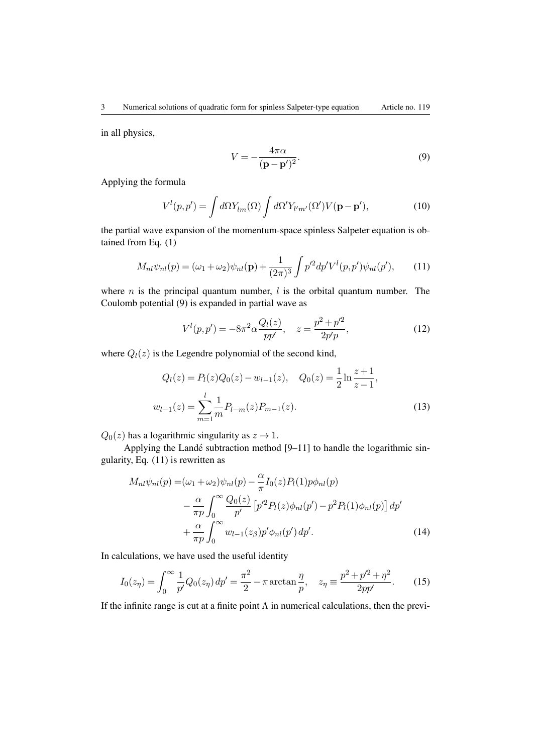<span id="page-2-0"></span>in all physics,

$$
V = -\frac{4\pi\alpha}{(\mathbf{p} - \mathbf{p}')^2}.
$$
\n(9)

Applying the formula

<span id="page-2-1"></span>
$$
V^{l}(p,p') = \int d\Omega Y_{lm}(\Omega) \int d\Omega' Y_{l'm'}(\Omega') V(\mathbf{p} - \mathbf{p}'),\tag{10}
$$

the partial wave expansion of the momentum-space spinless Salpeter equation is obtained from Eq. [\(1\)](#page-0-0)

$$
M_{nl}\psi_{nl}(p) = (\omega_1 + \omega_2)\psi_{nl}(\mathbf{p}) + \frac{1}{(2\pi)^3} \int p'^2 dp' V^l(p, p')\psi_{nl}(p'),\tag{11}
$$

where *n* is the principal quantum number,  $l$  is the orbital quantum number. The Coulomb potential [\(9\)](#page-2-0) is expanded in partial wave as

$$
V^{l}(p,p') = -8\pi^{2} \alpha \frac{Q_{l}(z)}{pp'}, \quad z = \frac{p^{2} + p'^{2}}{2p'p},
$$
\n(12)

where  $Q_l(z)$  is the Legendre polynomial of the second kind,

$$
Q_l(z) = P_l(z)Q_0(z) - w_{l-1}(z), \quad Q_0(z) = \frac{1}{2}\ln\frac{z+1}{z-1},
$$
  

$$
w_{l-1}(z) = \sum_{m=1}^l \frac{1}{m} P_{l-m}(z) P_{m-1}(z).
$$
 (13)

 $Q_0(z)$  has a logarithmic singularity as  $z \to 1$ .

Applying the Landé subtraction method [\[9–](#page-7-3)[11\]](#page-7-4) to handle the logarithmic singularity, Eq. [\(11\)](#page-2-1) is rewritten as

$$
M_{nl}\psi_{nl}(p) = (\omega_1 + \omega_2)\psi_{nl}(p) - \frac{\alpha}{\pi}I_0(z)P_l(1)p\phi_{nl}(p) - \frac{\alpha}{\pi p}\int_0^\infty \frac{Q_0(z)}{p'} \left[ p'^2 P_l(z)\phi_{nl}(p') - p^2 P_l(1)\phi_{nl}(p) \right] dp' + \frac{\alpha}{\pi p}\int_0^\infty w_{l-1}(z_\beta)p'\phi_{nl}(p') dp'.
$$
 (14)

In calculations, we have used the useful identity

<span id="page-2-2"></span>
$$
I_0(z_\eta) = \int_0^\infty \frac{1}{p'} Q_0(z_\eta) \, dp' = \frac{\pi^2}{2} - \pi \arctan\frac{\eta}{p}, \quad z_\eta \equiv \frac{p^2 + p'^2 + \eta^2}{2pp'}.\tag{15}
$$

If the infinite range is cut at a finite point  $\Lambda$  in numerical calculations, then the previ-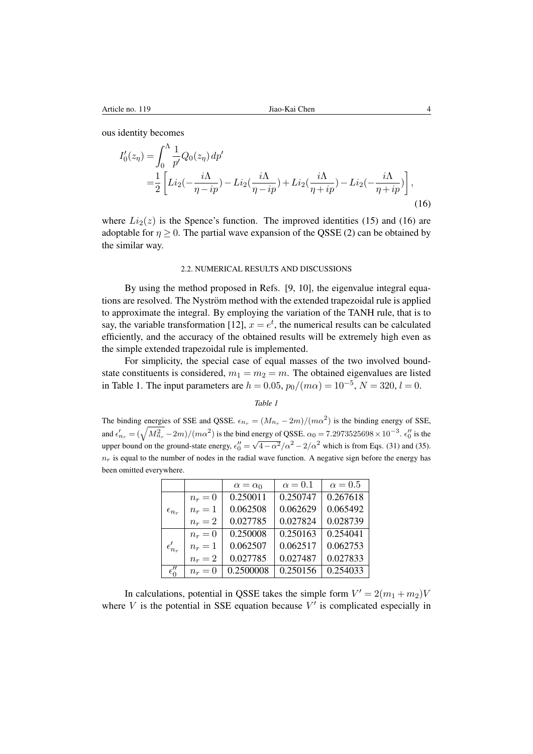ous identity becomes

$$
I_0'(z_\eta) = \int_0^\Lambda \frac{1}{p'} Q_0(z_\eta) dp' = \frac{1}{2} \left[ Li_2(-\frac{i\Lambda}{\eta - ip}) - Li_2(\frac{i\Lambda}{\eta - ip}) + Li_2(\frac{i\Lambda}{\eta + ip}) - Li_2(-\frac{i\Lambda}{\eta + ip}) \right],
$$
(16)

where  $Li_2(z)$  is the Spence's function. The improved identities [\(15\)](#page-2-2) and [\(16\)](#page-3-0) are adoptable for  $\eta \geq 0$ . The partial wave expansion of the QSSE [\(2\)](#page-0-1) can be obtained by the similar way.

#### <span id="page-3-0"></span>2.2. NUMERICAL RESULTS AND DISCUSSIONS

By using the method proposed in Refs. [\[9,](#page-7-3) [10\]](#page-7-5), the eigenvalue integral equations are resolved. The Nyström method with the extended trapezoidal rule is applied to approximate the integral. By employing the variation of the TANH rule, that is to say, the variable transformation [\[12\]](#page-7-6),  $x = e^t$ , the numerical results can be calculated efficiently, and the accuracy of the obtained results will be extremely high even as the simple extended trapezoidal rule is implemented.

For simplicity, the special case of equal masses of the two involved boundstate constituents is considered,  $m_1 = m_2 = m$ . The obtained eigenvalues are listed in Table [1.](#page-3-1) The input parameters are  $h = 0.05$ ,  $p_0/(m\alpha) = 10^{-5}$ ,  $N = 320$ ,  $l = 0$ .

*Table 1*

<span id="page-3-1"></span>The binding energies of SSE and QSSE.  $\epsilon_{n_r} = (M_{n_r} - 2m)/(m\alpha^2)$  is the binding energy of SSE, and  $\epsilon'_{n_r} = (\sqrt{M_{n_r}^2} - 2m)/(m\alpha^2)$  is the bind energy of QSSE.  $\alpha_0 = 7.2973525698 \times 10^{-3}$ .  $\epsilon''_0$  is the und  $v_{h_r}$  ( $\sqrt{M_{h_r}}$  2*m)*/(*met* ) is the sind shergy of gissin equal (12010020000 × 10 ° 1.0<sup>0</sup> is the upper bound on the ground-state energy,  $\epsilon_0'' = \sqrt{4 - \alpha^2}/\alpha^2 - 2/\alpha^2$  which is from Eqs. [\(31\)](#page-5-0) and [\(35\)](#page-6-6).  $n_r$  is equal to the number of nodes in the radial wave function. A negative sign before the energy has been omitted everywhere.

|                   |           | $\alpha = \alpha_0$ | $\alpha = 0.1$ | $\alpha = 0.5$ |
|-------------------|-----------|---------------------|----------------|----------------|
|                   | $n_r=0$   | 0.250011            | 0.250747       | 0.267618       |
| $\epsilon_{n_r}$  | $n_r=1$   | 0.062508            | 0.062629       | 0.065492       |
|                   | $n_r = 2$ | 0.027785            | 0.027824       | 0.028739       |
| $\epsilon_{n_r}'$ | $n_r=0$   | 0.250008            | 0.250163       | 0.254041       |
|                   | $n_r=1$   | 0.062507            | 0.062517       | 0.062753       |
|                   | $n_r = 2$ | 0.027785            | 0.027487       | 0.027833       |
| $\epsilon''_0$    | $n_r=0$   | 0.2500008           | 0.250156       | 0.254033       |

In calculations, potential in QSSE takes the simple form  $V' = 2(m_1 + m_2)V$ where  $V$  is the potential in SSE equation because  $V'$  is complicated especially in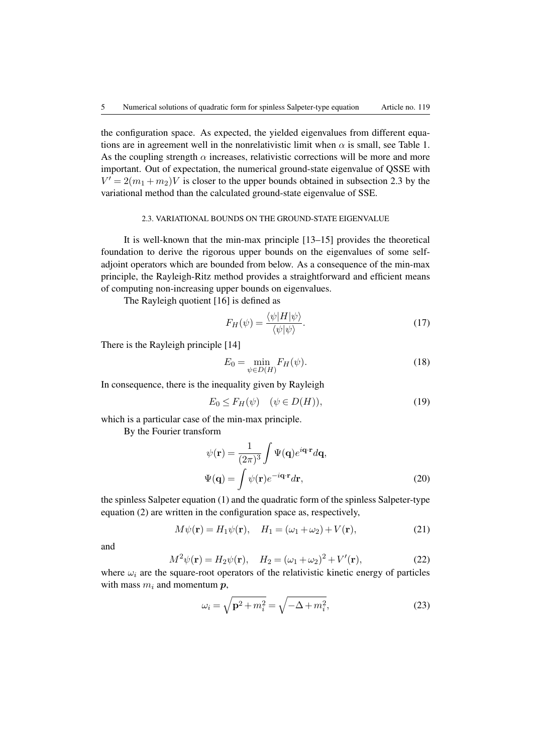the configuration space. As expected, the yielded eigenvalues from different equations are in agreement well in the nonrelativistic limit when  $\alpha$  is small, see Table [1.](#page-3-1) As the coupling strength  $\alpha$  increases, relativistic corrections will be more and more important. Out of expectation, the numerical ground-state eigenvalue of QSSE with  $V' = 2(m_1 + m_2)V$  is closer to the upper bounds obtained in subsection [2.3](#page-4-0) by the variational method than the calculated ground-state eigenvalue of SSE.

#### 2.3. VARIATIONAL BOUNDS ON THE GROUND-STATE EIGENVALUE

<span id="page-4-0"></span>It is well-known that the min-max principle [\[13–](#page-7-7)[15\]](#page-7-8) provides the theoretical foundation to derive the rigorous upper bounds on the eigenvalues of some selfadjoint operators which are bounded from below. As a consequence of the min-max principle, the Rayleigh-Ritz method provides a straightforward and efficient means of computing non-increasing upper bounds on eigenvalues.

The Rayleigh quotient [\[16\]](#page-7-9) is defined as

<span id="page-4-3"></span>
$$
F_H(\psi) = \frac{\langle \psi | H | \psi \rangle}{\langle \psi | \psi \rangle}.
$$
\n(17)

There is the Rayleigh principle [\[14\]](#page-7-10)

$$
E_0 = \min_{\psi \in D(H)} F_H(\psi). \tag{18}
$$

In consequence, there is the inequality given by Rayleigh

$$
E_0 \le F_H(\psi) \quad (\psi \in D(H)),\tag{19}
$$

which is a particular case of the min-max principle.

By the Fourier transform

<span id="page-4-1"></span>
$$
\psi(\mathbf{r}) = \frac{1}{(2\pi)^3} \int \Psi(\mathbf{q}) e^{i\mathbf{q} \cdot \mathbf{r}} d\mathbf{q},
$$
  

$$
\Psi(\mathbf{q}) = \int \psi(\mathbf{r}) e^{-i\mathbf{q} \cdot \mathbf{r}} d\mathbf{r},
$$
 (20)

the spinless Salpeter equation [\(1\)](#page-0-0) and the quadratic form of the spinless Salpeter-type equation [\(2\)](#page-0-1) are written in the configuration space as, respectively,

$$
M\psi(\mathbf{r}) = H_1\psi(\mathbf{r}), \quad H_1 = (\omega_1 + \omega_2) + V(\mathbf{r}), \tag{21}
$$

<span id="page-4-2"></span>and

$$
M^{2}\psi(\mathbf{r}) = H_{2}\psi(\mathbf{r}), \quad H_{2} = (\omega_{1} + \omega_{2})^{2} + V'(\mathbf{r}), \tag{22}
$$

where  $\omega_i$  are the square-root operators of the relativistic kinetic energy of particles with mass  $m_i$  and momentum  $p_i$ ,

$$
\omega_i = \sqrt{\mathbf{p}^2 + m_i^2} = \sqrt{-\Delta + m_i^2},\tag{23}
$$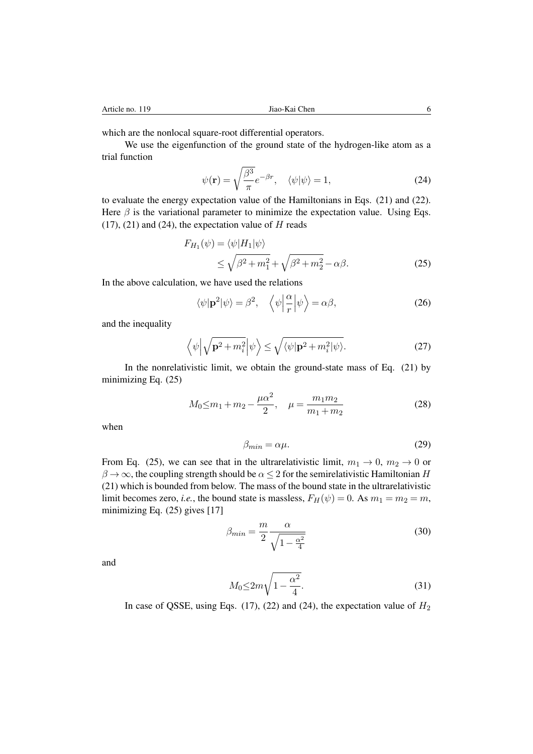which are the nonlocal square-root differential operators.

We use the eigenfunction of the ground state of the hydrogen-like atom as a trial function

<span id="page-5-1"></span>
$$
\psi(\mathbf{r}) = \sqrt{\frac{\beta^3}{\pi}} e^{-\beta r}, \quad \langle \psi | \psi \rangle = 1,
$$
\n(24)

to evaluate the energy expectation value of the Hamiltonians in Eqs. [\(21\)](#page-4-1) and [\(22\)](#page-4-2). Here  $\beta$  is the variational parameter to minimize the expectation value. Using Eqs.  $(17)$ ,  $(21)$  and  $(24)$ , the expectation value of H reads

$$
F_{H_1}(\psi) = \langle \psi | H_1 | \psi \rangle
$$
  
\n
$$
\leq \sqrt{\beta^2 + m_1^2} + \sqrt{\beta^2 + m_2^2} - \alpha \beta.
$$
\n(25)

In the above calculation, we have used the relations

<span id="page-5-2"></span>
$$
\langle \psi | \mathbf{p}^2 | \psi \rangle = \beta^2, \quad \left\langle \psi \left| \frac{\alpha}{r} \right| \psi \right\rangle = \alpha \beta, \tag{26}
$$

and the inequality

$$
\left\langle \psi \left| \sqrt{\mathbf{p}^2 + m_i^2} \right| \psi \right\rangle \le \sqrt{\langle \psi | \mathbf{p}^2 + m_i^2 | \psi \rangle}.
$$
 (27)

In the nonrelativistic limit, we obtain the ground-state mass of Eq. [\(21\)](#page-4-1) by minimizing Eq. [\(25\)](#page-5-2)

<span id="page-5-3"></span>
$$
M_0 \le m_1 + m_2 - \frac{\mu \alpha^2}{2}, \quad \mu = \frac{m_1 m_2}{m_1 + m_2} \tag{28}
$$

when

$$
\beta_{min} = \alpha \mu. \tag{29}
$$

From Eq. [\(25\)](#page-5-2), we can see that in the ultrarelativistic limit,  $m_1 \rightarrow 0$ ,  $m_2 \rightarrow 0$  or  $\beta \to \infty$ , the coupling strength should be  $\alpha \leq 2$  for the semirelativistic Hamiltonian H [\(21\)](#page-4-1) which is bounded from below. The mass of the bound state in the ultrarelativistic limit becomes zero, *i.e.*, the bound state is massless,  $F_H(\psi) = 0$ . As  $m_1 = m_2 = m$ , minimizing Eq. [\(25\)](#page-5-2) gives [\[17\]](#page-7-11)

$$
\beta_{min} = \frac{m}{2} \frac{\alpha}{\sqrt{1 - \frac{\alpha^2}{4}}}
$$
\n(30)

<span id="page-5-0"></span>and

$$
M_0 \le 2m\sqrt{1 - \frac{\alpha^2}{4}}.\tag{31}
$$

In case of QSSE, using Eqs. [\(17\)](#page-4-3), [\(22\)](#page-4-2) and [\(24\)](#page-5-1), the expectation value of  $H_2$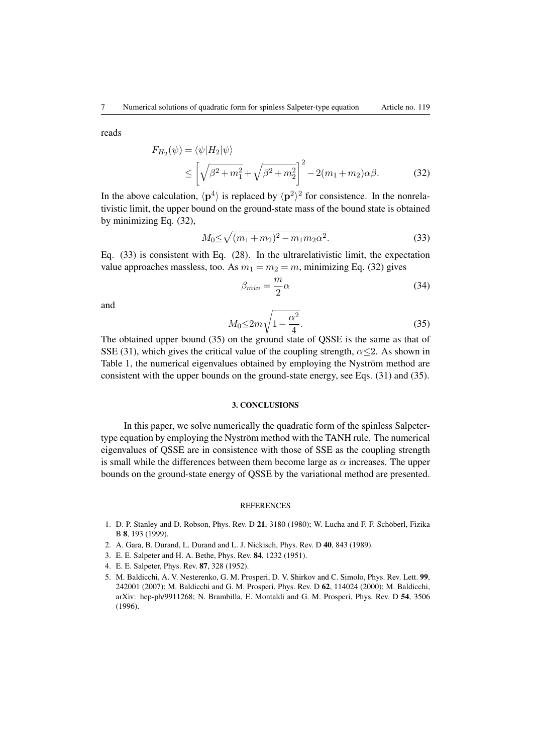reads

$$
F_{H_2}(\psi) = \langle \psi | H_2 | \psi \rangle
$$
  
 
$$
\leq \left[ \sqrt{\beta^2 + m_1^2} + \sqrt{\beta^2 + m_2^2} \right]^2 - 2(m_1 + m_2)\alpha\beta.
$$
 (32)

In the above calculation,  $\langle \mathbf{p}^4 \rangle$  is replaced by  $\langle \mathbf{p}^2 \rangle^2$  for consistence. In the nonrelativistic limit, the upper bound on the ground-state mass of the bound state is obtained by minimizing Eq. [\(32\)](#page-6-7),

<span id="page-6-8"></span>
$$
M_0 \le \sqrt{(m_1 + m_2)^2 - m_1 m_2 \alpha^2}.
$$
\n(33)

Eq. [\(33\)](#page-6-8) is consistent with Eq. [\(28\)](#page-5-3). In the ultrarelativistic limit, the expectation value approaches massless, too. As  $m_1 = m_2 = m$ , minimizing Eq. [\(32\)](#page-6-7) gives

<span id="page-6-7"></span>
$$
\beta_{min} = \frac{m}{2}\alpha\tag{34}
$$

<span id="page-6-6"></span>and

$$
M_0 \le 2m\sqrt{1 - \frac{\alpha^2}{4}}.\tag{35}
$$

The obtained upper bound [\(35\)](#page-6-6) on the ground state of QSSE is the same as that of SSE [\(31\)](#page-5-0), which gives the critical value of the coupling strength,  $\alpha \leq 2$ . As shown in Table [1,](#page-3-1) the numerical eigenvalues obtained by employing the Nyström method are consistent with the upper bounds on the ground-state energy, see Eqs. [\(31\)](#page-5-0) and [\(35\)](#page-6-6).

# 3. CONCLUSIONS

<span id="page-6-5"></span>In this paper, we solve numerically the quadratic form of the spinless Salpetertype equation by employing the Nyström method with the TANH rule. The numerical eigenvalues of QSSE are in consistence with those of SSE as the coupling strength is small while the differences between them become large as  $\alpha$  increases. The upper bounds on the ground-state energy of QSSE by the variational method are presented.

#### **REFERENCES**

- <span id="page-6-0"></span>1. D. P. Stanley and D. Robson, Phys. Rev. D 21, 3180 (1980); W. Lucha and F. F. Schöberl, Fizika B 8, 193 (1999).
- <span id="page-6-1"></span>2. A. Gara, B. Durand, L. Durand and L. J. Nickisch, Phys. Rev. D 40, 843 (1989).
- <span id="page-6-2"></span>3. E. E. Salpeter and H. A. Bethe, Phys. Rev. 84, 1232 (1951).
- <span id="page-6-3"></span>4. E. E. Salpeter, Phys. Rev. 87, 328 (1952).
- <span id="page-6-4"></span>5. M. Baldicchi, A. V. Nesterenko, G. M. Prosperi, D. V. Shirkov and C. Simolo, Phys. Rev. Lett. 99, 242001 (2007); M. Baldicchi and G. M. Prosperi, Phys. Rev. D 62, 114024 (2000); M. Baldicchi, arXiv: hep-ph/9911268; N. Brambilla, E. Montaldi and G. M. Prosperi, Phys. Rev. D 54, 3506 (1996).